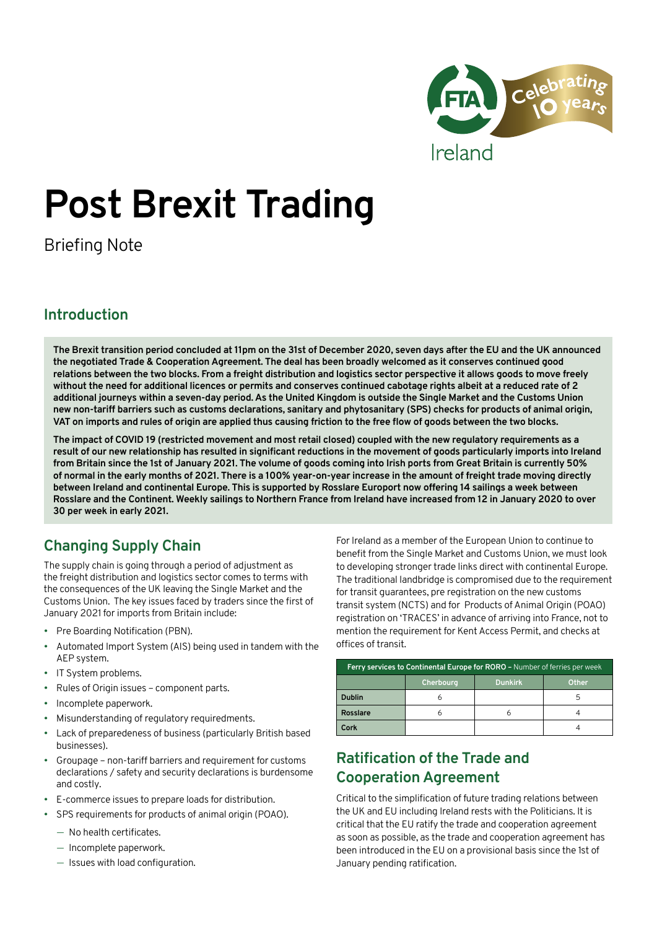

# **Post Brexit Trading**

Briefing Note

## **Introduction**

**The Brexit transition period concluded at 11pm on the 31st of December 2020, seven days after the EU and the UK announced the negotiated Trade & Cooperation Agreement. The deal has been broadly welcomed as it conserves continued good relations between the two blocks. From a freight distribution and logistics sector perspective it allows goods to move freely without the need for additional licences or permits and conserves continued cabotage rights albeit at a reduced rate of 2 additional journeys within a seven-day period. As the United Kingdom is outside the Single Market and the Customs Union new non-tariff barriers such as customs declarations, sanitary and phytosanitary (SPS) checks for products of animal origin, VAT on imports and rules of origin are applied thus causing friction to the free flow of goods between the two blocks.**

**The impact of COVID 19 (restricted movement and most retail closed) coupled with the new regulatory requirements as a result of our new relationship has resulted in significant reductions in the movement of goods particularly imports into Ireland from Britain since the 1st of January 2021. The volume of goods coming into Irish ports from Great Britain is currently 50% of normal in the early months of 2021. There is a 100% year-on-year increase in the amount of freight trade moving directly between Ireland and continental Europe. This is supported by Rosslare Europort now offering 14 sailings a week between Rosslare and the Continent. Weekly sailings to Northern France from Ireland have increased from 12 in January 2020 to over 30 per week in early 2021.**

# **Changing Supply Chain**

The supply chain is going through a period of adjustment as the freight distribution and logistics sector comes to terms with the consequences of the UK leaving the Single Market and the Customs Union. The key issues faced by traders since the first of January 2021 for imports from Britain include:

- Pre Boarding Notification (PBN).
- Automated Import System (AIS) being used in tandem with the AEP system.
- IT System problems.
- Rules of Origin issues component parts.
- Incomplete paperwork.
- Misunderstanding of regulatory requiredments.
- Lack of preparedeness of business (particularly British based businesses).
- Groupage non-tariff barriers and requirement for customs declarations / safety and security declarations is burdensome and costly.
- E-commerce issues to prepare loads for distribution.
- SPS requirements for products of animal origin (POAO).
	- No health certificates.
	- Incomplete paperwork.
	- Issues with load configuration.

For Ireland as a member of the European Union to continue to benefit from the Single Market and Customs Union, we must look to developing stronger trade links direct with continental Europe. The traditional landbridge is compromised due to the requirement for transit guarantees, pre registration on the new customs transit system (NCTS) and for Products of Animal Origin (POAO) registration on 'TRACES' in advance of arriving into France, not to mention the requirement for Kent Access Permit, and checks at offices of transit.

| Ferry services to Continental Europe for RORO - Number of ferries per week |            |                |       |
|----------------------------------------------------------------------------|------------|----------------|-------|
|                                                                            | Cherbourg, | <b>Dunkirk</b> | Other |
| <b>Dublin</b>                                                              |            |                |       |
| Rosslare                                                                   |            |                |       |
| Cork                                                                       |            |                |       |

# **Ratification of the Trade and Cooperation Agreement**

Critical to the simplification of future trading relations between the UK and EU including Ireland rests with the Politicians. It is critical that the EU ratify the trade and cooperation agreement as soon as possible, as the trade and cooperation agreement has been introduced in the EU on a provisional basis since the 1st of January pending ratification.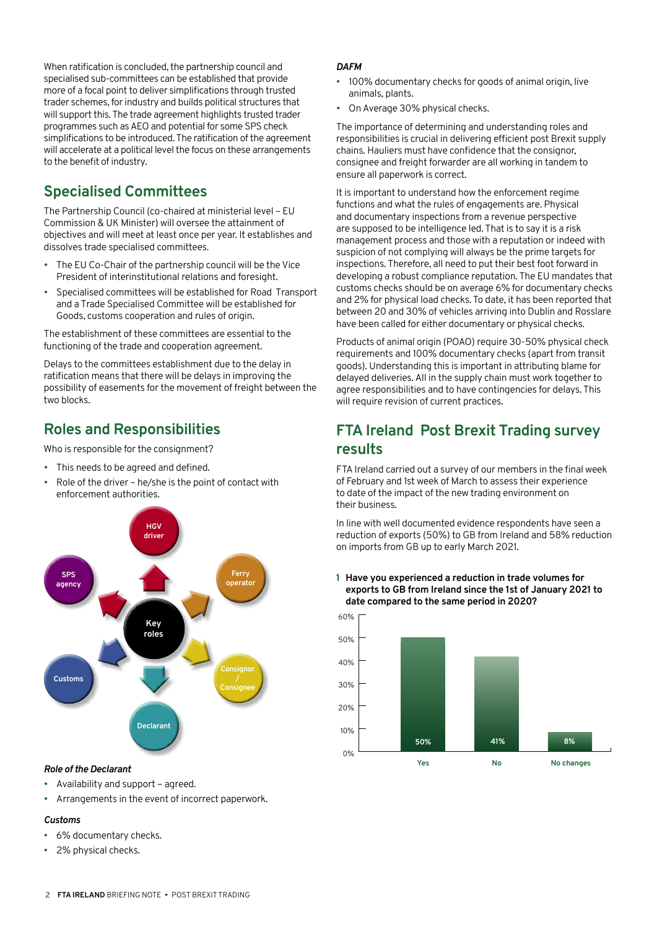When ratification is concluded, the partnership council and specialised sub-committees can be established that provide more of a focal point to deliver simplifications through trusted trader schemes, for industry and builds political structures that will support this. The trade agreement highlights trusted trader programmes such as AEO and potential for some SPS check simplifications to be introduced. The ratification of the agreement will accelerate at a political level the focus on these arrangements to the benefit of industry.

# **Specialised Committees**

The Partnership Council (co-chaired at ministerial level – EU Commission & UK Minister) will oversee the attainment of objectives and will meet at least once per year. It establishes and dissolves trade specialised committees.

- The EU Co-Chair of the partnership council will be the Vice President of interinstitutional relations and foresight.
- Specialised committees will be established for Road Transport and a Trade Specialised Committee will be established for Goods, customs cooperation and rules of origin.

The establishment of these committees are essential to the functioning of the trade and cooperation agreement.

Delays to the committees establishment due to the delay in ratification means that there will be delays in improving the possibility of easements for the movement of freight between the two blocks.

## **Roles and Responsibilities**

Who is responsible for the consignment?

- This needs to be agreed and defined.
- Role of the driver he/she is the point of contact with enforcement authorities.



## *Role of the Declarant*

- Availability and support agreed.
- Arrangements in the event of incorrect paperwork.

## *Customs*

- 6% documentary checks.
- 2% physical checks.

## *DAFM*

- 100% documentary checks for goods of animal origin, live animals, plants.
- On Average 30% physical checks.

The importance of determining and understanding roles and responsibilities is crucial in delivering efficient post Brexit supply chains. Hauliers must have confidence that the consignor, consignee and freight forwarder are all working in tandem to ensure all paperwork is correct.

It is important to understand how the enforcement regime functions and what the rules of engagements are. Physical and documentary inspections from a revenue perspective are supposed to be intelligence led. That is to say it is a risk management process and those with a reputation or indeed with suspicion of not complying will always be the prime targets for inspections. Therefore, all need to put their best foot forward in developing a robust compliance reputation. The EU mandates that customs checks should be on average 6% for documentary checks and 2% for physical load checks. To date, it has been reported that between 20 and 30% of vehicles arriving into Dublin and Rosslare have been called for either documentary or physical checks.

Products of animal origin (POAO) require 30-50% physical check requirements and 100% documentary checks (apart from transit goods). Understanding this is important in attributing blame for delayed deliveries. All in the supply chain must work together to agree responsibilities and to have contingencies for delays. This will require revision of current practices.

## **FTA Ireland Post Brexit Trading survey results**

FTA Ireland carried out a survey of our members in the final week of February and 1st week of March to assess their experience to date of the impact of the new trading environment on their business.

In line with well documented evidence respondents have seen a reduction of exports (50%) to GB from Ireland and 58% reduction on imports from GB up to early March 2021.

**1 Have you experienced a reduction in trade volumes for exports to GB from Ireland since the 1st of January 2021 to date compared to the same period in 2020?**

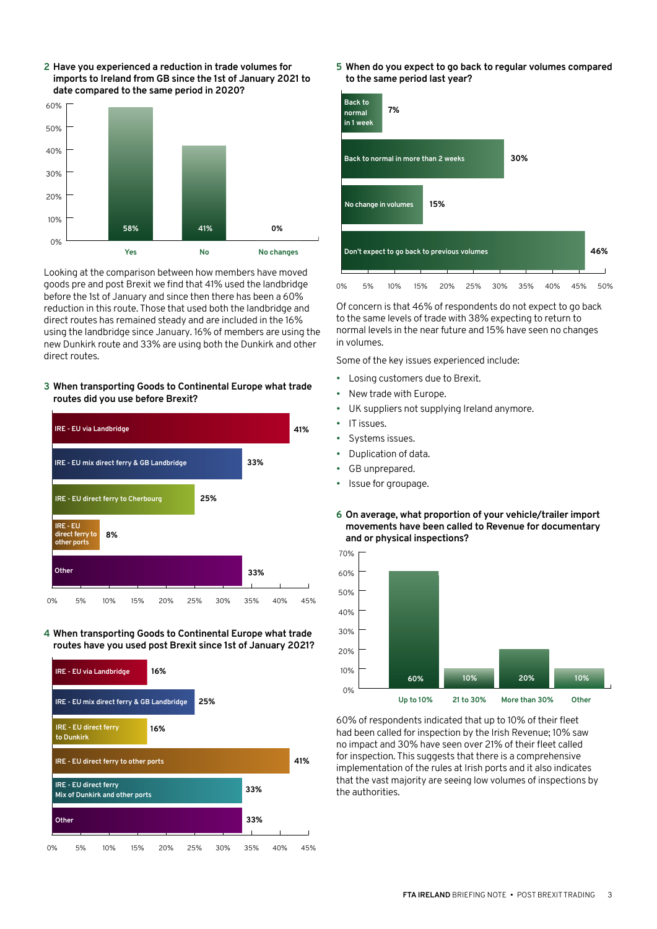

**2 Have you experienced a reduction in trade volumes for imports to Ireland from GB since the 1st of January 2021 to** 

Looking at the comparison between how members have moved goods pre and post Brexit we find that 41% used the landbridge before the 1st of January and since then there has been a 60% reduction in this route. Those that used both the landbridge and direct routes has remained steady and are included in the 16% using the landbridge since January. 16% of members are using the new Dunkirk route and 33% are using both the Dunkirk and other direct routes.

#### **3 When transporting Goods to Continental Europe what trade routes did you use before Brexit?**



**4 When transporting Goods to Continental Europe what trade routes have you used post Brexit since 1st of January 2021?**



**5 When do you expect to go back to regular volumes compared to the same period last year?**



Of concern is that 46% of respondents do not expect to go back to the same levels of trade with 38% expecting to return to normal levels in the near future and 15% have seen no changes in volumes.

Some of the key issues experienced include:

- Losing customers due to Brexit.
- New trade with Europe.
- UK suppliers not supplying Ireland anymore.
- IT issues.
	- Systems issues.
	- Duplication of data.
	- GB unprepared.
	- Issue for groupage.
	- **6 On average, what proportion of your vehicle/trailer import movements have been called to Revenue for documentary and or physical inspections?**



60% of respondents indicated that up to 10% of their fleet had been called for inspection by the Irish Revenue; 10% saw no impact and 30% have seen over 21% of their fleet called for inspection. This suggests that there is a comprehensive implementation of the rules at Irish ports and it also indicates that the vast majority are seeing low volumes of inspections by the authorities.